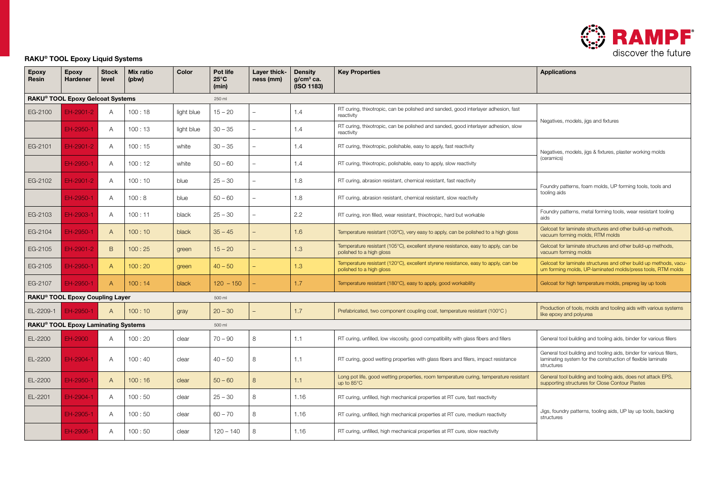

### RAKU® TOOL Epoxy Liquid Systems

| <b>Epoxy</b><br><b>Resin</b> | <b>Epoxy</b><br><b>Hardener</b>     | <b>Stock</b><br>level | <b>Mix ratio</b><br>(pbw) | Color      | Pot life<br>$25^{\circ}$ C<br>(min) | Layer thick-<br>ness (mm) | <b>Density</b><br>$g/cm3$ ca.<br>(ISO 1183) | <b>Key Properties</b>                                                                                          | <b>Applications</b>                                                                                                                              |
|------------------------------|-------------------------------------|-----------------------|---------------------------|------------|-------------------------------------|---------------------------|---------------------------------------------|----------------------------------------------------------------------------------------------------------------|--------------------------------------------------------------------------------------------------------------------------------------------------|
|                              | RAKU® TOOL Epoxy Gelcoat Systems    |                       |                           |            | 250 ml                              |                           |                                             |                                                                                                                |                                                                                                                                                  |
| EG-2100                      | EH-2901-2                           | A                     | 100:18                    | light blue | $15 - 20$                           |                           | 1.4                                         | RT curing, thixotropic, can be polished and sanded, good interlayer adhesion, fast<br>reactivity               | Negatives, models, jigs and fixtures                                                                                                             |
|                              | EH-2950-1                           | $\overline{A}$        | 100:13                    | light blue | $30 - 35$                           |                           | 1.4                                         | RT curing, thixotropic, can be polished and sanded, good interlayer adhesion, slow<br>reactivity               |                                                                                                                                                  |
| EG-2101                      | EH-2901-2                           | A                     | 100:15                    | white      | $30 - 35$                           |                           | 1.4                                         | RT curing, thixotropic, polishable, easy to apply, fast reactivity                                             | Negatives, models, jigs & fixtures, plaster working molds                                                                                        |
|                              | EH-2950-1                           | $\overline{A}$        | 100:12                    | white      | $50 - 60$                           |                           | 1.4                                         | RT curing, thixotropic, polishable, easy to apply, slow reactivity                                             | (ceramics)                                                                                                                                       |
| EG-2102                      | EH-2901-2                           | A                     | 100:10                    | blue       | $25 - 30$                           |                           | 1.8                                         | RT curing, abrasion resistant, chemical resistant, fast reactivity                                             | Foundry patterns, foam molds, UP forming tools, tools and                                                                                        |
|                              | EH-2950-1                           | A                     | 100:8                     | blue       | $50 - 60$                           |                           | 1.8                                         | RT curing, abrasion resistant, chemical resistant, slow reactivity                                             | tooling aids                                                                                                                                     |
| EG-2103                      | EH-2903-1                           | $\overline{A}$        | 100:11                    | black      | $25 - 30$                           |                           | 2.2                                         | RT curing, iron filled, wear resistant, thixotropic, hard but workable                                         | Foundry patterns, metal forming tools, wear resistant tooling<br>aids                                                                            |
| EG-2104                      | EH-2950-1                           | A                     | 100:10                    | black      | $35 - 45$                           |                           | 1.6                                         | Temperature resistant (105°C), very easy to apply, can be polished to a high gloss                             | Gelcoat for laminate structures and other build-up methods,<br>vacuum forming molds, RTM molds                                                   |
| EG-2105                      | EH-2901-2                           | B                     | 100:25                    | green      | $15 - 20$                           |                           | 1.3                                         | Temperature resistant (105°C), excellent styrene resistance, easy to apply, can be<br>polished to a high gloss | Gelcoat for laminate structures and other build-up methods,<br>vacuum forming molds                                                              |
| EG-2105                      | EH-2950-1                           | $\mathsf{A}$          | 100:20                    | green      | $40 - 50$                           |                           | 1.3                                         | Temperature resistant (120°C), excellent styrene resistance, easy to apply, can be<br>polished to a high gloss | Gelcoat for laminate structures and other build up methods, vacu-<br>um forming molds, UP-laminated molds/press tools, RTM molds                 |
| EG-2107                      | EH-2950-1                           | $\mathsf{A}$          | 100:14                    | black      | $120 - 150$                         |                           | 1.7                                         | Temperature resistant (180°C), easy to apply, good workability                                                 | Gelcoat for high temperature molds, prepreg lay up tools                                                                                         |
|                              | RAKU® TOOL Epoxy Coupling Layer     |                       |                           |            | 500 ml                              |                           |                                             |                                                                                                                |                                                                                                                                                  |
| EL-2209-1                    | EH-2950-1                           | A                     | 100:10                    | gray       | $20 - 30$                           |                           | 1.7                                         | Prefabricated, two component coupling coat, temperature resistant (100°C)                                      | Production of tools, molds and tooling aids with various systems<br>like epoxy and polyurea                                                      |
|                              | RAKU® TOOL Epoxy Laminating Systems |                       |                           |            | 500 ml                              |                           |                                             |                                                                                                                |                                                                                                                                                  |
| EL-2200                      | EH-2900                             | $\mathsf{A}$          | 100:20                    | clear      | $70 - 90$                           | 8                         | 1.1                                         | RT curing, unfilled, low viscosity, good compatibility with glass fibers and fillers                           | General tool building and tooling aids, binder for various fillers                                                                               |
| EL-2200                      | EH-2904-1                           | $\overline{A}$        | 100:40                    | clear      | $40 - 50$                           | 8                         | 1.1                                         | RT curing, good wetting properties with glass fibers and fillers, impact resistance                            | General tool building and tooling aids, binder for various fillers,<br>laminating system for the construction of flexible laminate<br>structures |
| EL-2200                      | EH-2950-1                           | $\mathsf{A}$          | 100:16                    | clear      | $50 - 60$                           | 8                         | 1.1                                         | Long pot life, good wetting properties, room temperature curing, temperature resistant<br>up to 85°C           | General tool building and tooling aids, does not attack EPS,<br>supporting structures for Close Contour Pastes                                   |
| EL-2201                      | EH-2904-1                           | $\overline{A}$        | 100:50                    | clear      | $25 - 30$                           | 8                         | 1.16                                        | RT curing, unfilled, high mechanical properties at RT cure, fast reactivity                                    |                                                                                                                                                  |
|                              | EH-2905-1                           | A                     | 100:50                    | clear      | $60 - 70$                           | 8                         | 1.16                                        | RT curing, unfilled, high mechanical properties at RT cure, medium reactivity                                  | Jigs, foundry patterns, tooling aids, UP lay up tools, backing<br>structures                                                                     |
|                              | EH-2906-1                           | A                     | 100:50                    | clear      | $120 - 140$                         | 8                         | 1.16                                        | RT curing, unfilled, high mechanical properties at RT cure, slow reactivity                                    |                                                                                                                                                  |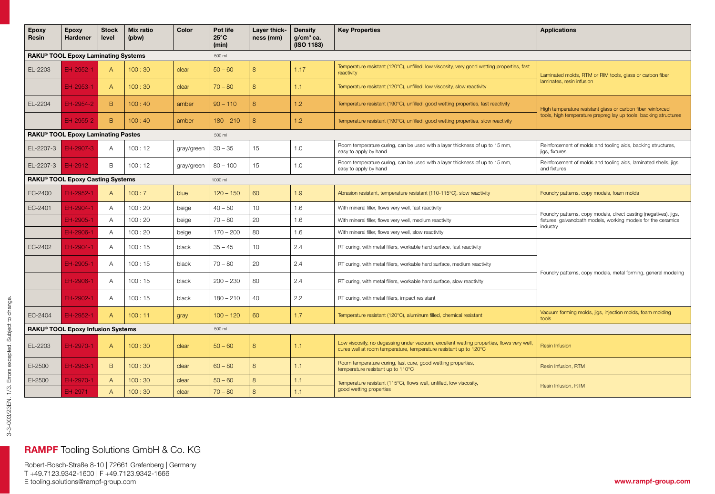| <b>Epoxy</b><br>Resin | <b>Epoxy</b><br><b>Hardener</b>                | <b>Stock</b><br>level | <b>Mix ratio</b><br>(pbw) | Color      | Pot life<br>$25^{\circ}$ C<br>(min) | Layer thick-<br>ness (mm) | <b>Density</b><br>$g/cm3$ ca.<br>(ISO 1183) | <b>Key Properties</b>                                                                                                                                         | <b>Applications</b>                                                                                                                           |  |  |  |
|-----------------------|------------------------------------------------|-----------------------|---------------------------|------------|-------------------------------------|---------------------------|---------------------------------------------|---------------------------------------------------------------------------------------------------------------------------------------------------------------|-----------------------------------------------------------------------------------------------------------------------------------------------|--|--|--|
|                       | RAKU® TOOL Epoxy Laminating Systems<br>500 ml  |                       |                           |            |                                     |                           |                                             |                                                                                                                                                               |                                                                                                                                               |  |  |  |
| EL-2203               | EH-2952-1                                      | $\overline{A}$        | 100:30                    | clear      | $50 - 60$                           | 8                         | 1.17                                        | Temperature resistant (120°C), unfilled, low viscosity, very good wetting properties, fast<br>reactivity                                                      | Laminated molds, RTM or RIM tools, glass or carbon fiber                                                                                      |  |  |  |
|                       | EH-2953-1                                      | $\overline{A}$        | 100:30                    | clear      | $70 - 80$                           | 8                         | 1.1                                         | Temperature resistant (120°C), unfilled, low viscosity, slow reactivity                                                                                       | laminates, resin infusion                                                                                                                     |  |  |  |
| EL-2204               | EH-2954-2                                      | B                     | 100:40                    | amber      | $90 - 110$                          | 8                         | 1.2                                         | Temperature resistant (190°C), unfilled, good wetting properties, fast reactivity                                                                             | High temperature resistant glass or carbon fiber reinforced                                                                                   |  |  |  |
|                       | EH-2955-2                                      | B.                    | 100:40                    | amber      | $180 - 210$                         | 8                         | 1.2                                         | Temperature resistant (190°C), unfilled, good wetting properties, slow reactivity                                                                             | tools, high temperature prepreg lay up tools, backing structures                                                                              |  |  |  |
|                       | RAKU <sup>®</sup> TOOL Epoxy Laminating Pastes |                       |                           |            | 500 ml                              |                           |                                             |                                                                                                                                                               |                                                                                                                                               |  |  |  |
| EL-2207-3             | EH-2907-3                                      | A                     | 100:12                    | gray/green | $30 - 35$                           | 15                        | 1.0                                         | Room temperature curing, can be used with a layer thickness of up to 15 mm,<br>easy to apply by hand                                                          | Reinforcement of molds and tooling aids, backing structures,<br>jigs, fixtures                                                                |  |  |  |
| EL-2207-3             | EH-2912                                        | B                     | 100:12                    | gray/green | $80 - 100$                          | 15                        | 1.0                                         | Room temperature curing, can be used with a layer thickness of up to 15 mm,<br>easy to apply by hand                                                          | Reinforcement of molds and tooling aids, laminated shells, jigs<br>and fixtures                                                               |  |  |  |
|                       | RAKU® TOOL Epoxy Casting Systems<br>1000 ml    |                       |                           |            |                                     |                           |                                             |                                                                                                                                                               |                                                                                                                                               |  |  |  |
| EC-2400               | EH-2952-1                                      | $\overline{A}$        | 100:7                     | blue       | $120 - 150$                         | 60                        | 1.9                                         | Abrasion resistant, temperature resistant (110-115°C), slow reactivity                                                                                        | Foundry patterns, copy models, foam molds                                                                                                     |  |  |  |
| EC-2401               | EH-2904-1                                      | $\overline{A}$        | 100:20                    | beige      | $40 - 50$                           | 10 <sup>1</sup>           | 1.6                                         | With mineral filler, flows very well, fast reactivity                                                                                                         | Foundry patterns, copy models, direct casting (negatives), jigs,<br>fixtures, galvanobath models, working models for the ceramics<br>industry |  |  |  |
|                       | EH-2905-1                                      | $\overline{A}$        | 100:20                    | beige      | $70 - 80$                           | 20                        | 1.6                                         | With mineral filler, flows very well, medium reactivity                                                                                                       |                                                                                                                                               |  |  |  |
|                       | EH-2906-1                                      | $\overline{A}$        | 100:20                    | beige      | $170 - 200$                         | 80                        | 1.6                                         | With mineral filler, flows very well, slow reactivity                                                                                                         |                                                                                                                                               |  |  |  |
| EC-2402               | EH-2904-1                                      | $\overline{A}$        | 100:15                    | black      | $35 - 45$                           | 10                        | 2.4                                         | RT curing, with metal fillers, workable hard surface, fast reactivity                                                                                         |                                                                                                                                               |  |  |  |
|                       | FH-2905-1                                      | $\overline{A}$        | 100:15                    | black      | $70 - 80$                           | 20                        | 2.4                                         | RT curing, with metal fillers, workable hard surface, medium reactivity                                                                                       | Foundry patterns, copy models, metal forming, general modeling                                                                                |  |  |  |
|                       | EH-2906-1                                      | $\overline{A}$        | 100:15                    | black      | $200 - 230$                         | 80                        | 2.4                                         | RT curing, with metal fillers, workable hard surface, slow reactivity                                                                                         |                                                                                                                                               |  |  |  |
|                       | EH-2902-1                                      | A                     | 100:15                    | black      | $180 - 210$                         | 40                        | 2.2                                         | RT curing, with metal fillers, impact resistant                                                                                                               |                                                                                                                                               |  |  |  |
| EC-2404               | EH-2952-1                                      | $\overline{A}$        | 100:11                    | gray       | $100 - 120$                         | 60                        | 1.7                                         | Temperature resistant (120°C), aluminum filled, chemical resistant                                                                                            | Vacuum forming molds, jigs, injection molds, foam molding<br>tools                                                                            |  |  |  |
|                       | RAKU® TOOL Epoxy Infusion Systems              |                       |                           |            | 500 ml                              |                           |                                             |                                                                                                                                                               |                                                                                                                                               |  |  |  |
| EL-2203               | EH-2970-1                                      | $\overline{A}$        | 100:30                    | clear      | $50 - 60$                           | 8                         | 1.1                                         | Low viscosity, no degassing under vacuum, excellent wetting properties, flows very well,<br>cures well at room temperature, temperature resistant up to 120°C | Resin Infusion                                                                                                                                |  |  |  |
| EI-2500               | EH-2953-1                                      | B                     | 100:30                    | clear      | $60 - 80$                           | $\overline{8}$            | 1.1                                         | Room temperature curing, fast cure, good wetting properties,<br>temperature resistant up to 110°C                                                             | Resin Infusion, RTM                                                                                                                           |  |  |  |
| $EI-2500$             | EH-2970-1                                      | $\overline{A}$        | 100:30                    | clear      | $50 - 60$                           | 8                         | 1.1                                         | Temperature resistant (115°C), flows well, unfilled, low viscosity,                                                                                           | Resin Infusion, RTM                                                                                                                           |  |  |  |
|                       | EH-2971                                        | $\overline{A}$        | 100:30                    | clear      | $70 - 80$                           | 8                         | good wetting properties<br>1.1              |                                                                                                                                                               |                                                                                                                                               |  |  |  |

# RAMPF Tooling Solutions GmbH & Co. KG

Robert-Bosch-Straße 8-10 | 72661 Grafenberg | Germany T +49.7123.9342-1600 | F +49.7123.9342-1666 E tooling.solutions@rampf-group.com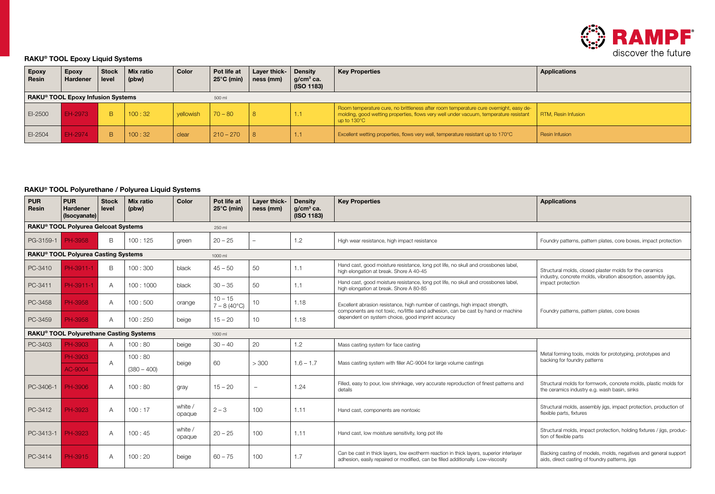

### RAKU® TOOL Epoxy Liquid Systems

| <b>Epoxy</b><br>∣ Resin∶                    | Epoxy<br>Hardener | <b>Stock</b><br>level | Mix ratio<br>(pbw) | Color     | Pot life at<br>$25^{\circ}$ C (min) | Layer thick- $\vert$ Density<br>ness (mm) | $ $ g/cm <sup>3</sup> ca.<br>(ISO 1183) | <b>Key Properties</b>                                                                                                                                                                                   | <b>Applications</b>        |
|---------------------------------------------|-------------------|-----------------------|--------------------|-----------|-------------------------------------|-------------------------------------------|-----------------------------------------|---------------------------------------------------------------------------------------------------------------------------------------------------------------------------------------------------------|----------------------------|
| RAKU® TOOL Epoxy Infusion Systems<br>500 ml |                   |                       |                    |           |                                     |                                           |                                         |                                                                                                                                                                                                         |                            |
| EI-2500                                     | EH-2973           | B.                    | 100:32             | vellowish | $70 - 80$                           | -8                                        | .                                       | Room temperature cure, no brittleness after room temperature cure overnight, easy de-<br>molding, good wetting properties, flows very well under vacuum, temperature resistant<br>up to $130^{\circ}$ C | <b>RTM, Resin Infusion</b> |
| EI-2504                                     | EH-2974           | B.                    | 100:32             | clear     | $210 - 270$                         |                                           |                                         | Excellent wetting properties, flows very well, temperature resistant up to 170°C                                                                                                                        | Resin Infusion             |

### RAKU® TOOL Polyurethane / Polyurea Liquid Systems

| <b>PUR</b><br>Resin | <b>PUR</b><br>Hardener<br>(Isocyanate)              | <b>Stock</b><br>level | Mix ratio<br>(pbw)      | Color             | Pot life at<br>$25^{\circ}$ C (min) | Layer thick-<br>ness (mm) | <b>Density</b><br>$g/cm3$ ca.<br>(ISO 1183) | <b>Key Properties</b>                                                                                                                                                       | <b>Applications</b>                                                                                                       |  |  |
|---------------------|-----------------------------------------------------|-----------------------|-------------------------|-------------------|-------------------------------------|---------------------------|---------------------------------------------|-----------------------------------------------------------------------------------------------------------------------------------------------------------------------------|---------------------------------------------------------------------------------------------------------------------------|--|--|
|                     | RAKU® TOOL Polyurea Gelcoat Systems<br>250 ml       |                       |                         |                   |                                     |                           |                                             |                                                                                                                                                                             |                                                                                                                           |  |  |
| PG-3159-1           | PH-3958                                             | B.                    | 100:125                 | green             | $20 - 25$                           |                           | 1.2                                         | High wear resistance, high impact resistance                                                                                                                                | Foundry patterns, pattern plates, core boxes, impact protection                                                           |  |  |
|                     | RAKU® TOOL Polyurea Casting Systems<br>1000 ml      |                       |                         |                   |                                     |                           |                                             |                                                                                                                                                                             |                                                                                                                           |  |  |
| PC-3410             | PH-3911-1                                           | B                     | 100:300                 | black             | $45 - 50$                           | 50                        | 1.1                                         | Hand cast, good moisture resistance, long pot life, no skull and crossbones label.<br>high elongation at break. Shore A 40-45                                               | Structural molds, closed plaster molds for the ceramics<br>industry, concrete molds, vibration absorption, assembly jigs, |  |  |
| PC-3411             | PH-3911-1                                           | A                     | 100:1000                | black             | $30 - 35$                           | 50                        | 1.1                                         | Hand cast, good moisture resistance, long pot life, no skull and crossbones label,<br>high elongation at break. Shore A 80-85                                               | impact protection                                                                                                         |  |  |
| PC-3458             | PH-3958                                             | A                     | 100:500                 | orange            | $10 - 15$<br>$7 - 8(40^{\circ}C)$   | 10                        | 1.18                                        | Excellent abrasion resistance, high number of castings, high impact strength,<br>components are not toxic, no/little sand adhesion, can be cast by hand or machine          | Foundry patterns, pattern plates, core boxes                                                                              |  |  |
| PC-3459             | <b>PH-3958</b>                                      | $\mathsf{A}$          | 100:250                 | beige             | $15 - 20$                           | 10 <sup>1</sup>           | 1.18                                        | dependent on system choice, good imprint accuracy                                                                                                                           |                                                                                                                           |  |  |
|                     | RAKU <sup>®</sup> TOOL Polyurethane Casting Systems |                       |                         |                   | 1000 ml                             |                           |                                             |                                                                                                                                                                             |                                                                                                                           |  |  |
| PC-3403             | PH-3903                                             | $\mathsf{A}$          | 100:80                  | beige             | $30 - 40$                           | 20                        | 1.2                                         | Mass casting system for face casting                                                                                                                                        |                                                                                                                           |  |  |
|                     | PH-3903<br>AC-9004                                  | A                     | 100:80<br>$(380 - 400)$ | beige             | 60                                  | > 300                     | $1.6 - 1.7$                                 | Mass casting system with filler AC-9004 for large volume castings                                                                                                           | Metal forming tools, molds for prototyping, prototypes and<br>backing for foundry patterns                                |  |  |
| PC-3406-1           | PH-3906                                             | А                     | 100:80                  | gray              | $15 - 20$                           | -                         | 1.24                                        | Filled, easy to pour, low shrinkage, very accurate reproduction of finest patterns and<br>details                                                                           | Structural molds for formwork, concrete molds, plastic molds for<br>the ceramics industry e.g. wash basin, sinks          |  |  |
| PC-3412             | PH-3923                                             | A                     | 100:17                  | white /<br>opaque | $2 - 3$                             | 100                       | 1.11                                        | Hand cast, components are nontoxic                                                                                                                                          | Structural molds, assembly jigs, impact protection, production of<br>flexible parts, fixtures                             |  |  |
| PC-3413-1           | PH-3923                                             | $\mathsf{A}$          | 100:45                  | white /<br>opaque | $20 - 25$                           | 100                       | 1.11                                        | Hand cast, low moisture sensitivity, long pot life                                                                                                                          | Structural molds, impact protection, holding fixtures / jigs, produc-<br>tion of flexible parts                           |  |  |
| PC-3414             | PH-3915                                             | $\overline{A}$        | 100:20                  | beige             | $60 - 75$                           | 100                       | 1.7                                         | Can be cast in thick layers, low exotherm reaction in thick layers, superior interlayer<br>adhesion, easily repaired or modified, can be filled additionally. Low-viscosity | Backing casting of models, molds, negatives and general support<br>aids, direct casting of foundry patterns, jigs         |  |  |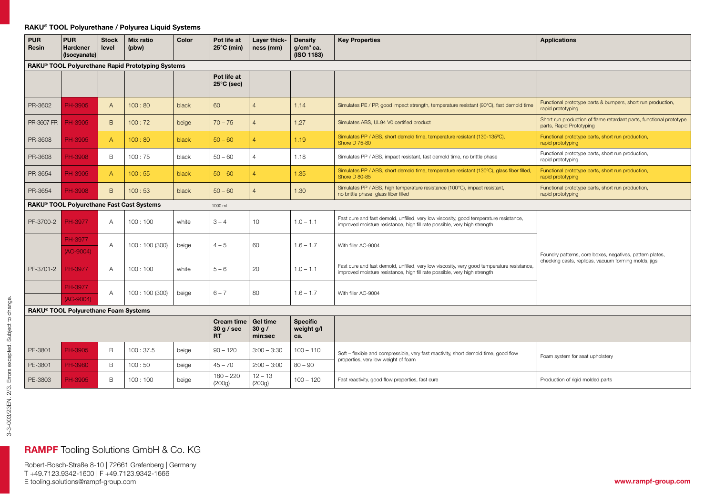#### RAKU® TOOL Polyurethane / Polyurea Liquid Systems

| <b>PUR</b><br>Resin | <b>PUR</b><br><b>Hardener</b><br>(Isocyanate)     | <b>Stock</b><br>level | <b>Mix ratio</b><br>(pbw)                 | Color | Pot life at<br>$25^{\circ}$ C (min)          | Layer thick-<br>ness (mm)    | <b>Density</b><br>$q/cm3$ ca.<br>(ISO 1183) | <b>Key Properties</b>                                                                                                                                                   | <b>Applications</b>                                                                             |  |  |
|---------------------|---------------------------------------------------|-----------------------|-------------------------------------------|-------|----------------------------------------------|------------------------------|---------------------------------------------|-------------------------------------------------------------------------------------------------------------------------------------------------------------------------|-------------------------------------------------------------------------------------------------|--|--|
|                     | RAKU® TOOL Polyurethane Rapid Prototyping Systems |                       |                                           |       |                                              |                              |                                             |                                                                                                                                                                         |                                                                                                 |  |  |
|                     |                                                   |                       |                                           |       | Pot life at<br>$25^{\circ}$ C (sec)          |                              |                                             |                                                                                                                                                                         |                                                                                                 |  |  |
| PR-3602             | PH-3905                                           | $\overline{A}$        | 100:80                                    | black | 60                                           | $\overline{4}$               | 1.14                                        | Simulates PE / PP, good impact strength, temperature resistant (90°C), fast demold time                                                                                 | Functional prototype parts & bumpers, short run production,<br>rapid prototyping                |  |  |
| PR-3607 FR          | PH-3905                                           | B                     | 100:72                                    | beige | $70 - 75$                                    | $\overline{4}$               | 1,27                                        | Simulates ABS, UL94 V0 certified product                                                                                                                                | Short run production of flame retardant parts, functional prototype<br>parts, Rapid Prototyping |  |  |
| PR-3608             | PH-3905                                           | $\mathsf{A}$          | 100:80                                    | black | $50 - 60$                                    | $\overline{4}$               | 1.19                                        | Simulates PP / ABS, short demold time, temperature resistant (130-135°C),<br>Shore D 75-80                                                                              | Functional prototype parts, short run production,<br>rapid prototyping                          |  |  |
| PR-3608             | PH-3908                                           | B                     | 100:75                                    | black | $50 - 60$                                    | $\overline{4}$               | 1.18                                        | Simulates PP / ABS, impact resistant, fast demold time, no brittle phase                                                                                                | Functional prototype parts, short run production,<br>rapid prototyping                          |  |  |
| PR-3654             | PH-3905                                           | $\mathsf{A}$          | 100:55                                    | black | $50 - 60$                                    | $\overline{4}$               | 1.35                                        | Simulates PP / ABS, short demold time, temperature resistant (130°C), glass fiber filled,<br>Shore D 80-85                                                              | Functional prototype parts, short run production,<br>rapid prototyping                          |  |  |
| PR-3654             | PH-3908                                           | B                     | 100:53                                    | black | $50 - 60$                                    | $\overline{4}$               | 1.30                                        | Simulates PP / ABS, high temperature resistance (100°C), impact resistant,<br>no brittle phase, glass fiber filled                                                      | Functional prototype parts, short run production,<br>rapid prototyping                          |  |  |
|                     |                                                   |                       | RAKU® TOOL Polyurethane Fast Cast Systems |       | 1000 ml                                      |                              |                                             |                                                                                                                                                                         |                                                                                                 |  |  |
| PF-3700-2           | PH-3977                                           | $\overline{A}$        | 100:100                                   | white | $3 - 4$                                      | 10                           | $1.0 - 1.1$                                 | Fast cure and fast demold, unfilled, very low viscosity, good temperature resistance,<br>improved moisture resistance, high fill rate possible, very high strength      |                                                                                                 |  |  |
|                     | PH-3977<br>$(AC-9004)$                            | A                     | 100: 100 (300)                            | beige | $4 - 5$                                      | 60                           | $1.6 - 1.7$                                 | With filler AC-9004                                                                                                                                                     | Foundry patterns, core boxes, negatives, pattern plates,                                        |  |  |
| PF-3701-2           | PH-3977                                           | $\overline{A}$        | 100:100                                   | white | $5 - 6$                                      | 20                           | $1.0 - 1.1$                                 | Fast cure and fast demold, unfilled, very low viscosity, very good temperature resistance,<br>improved moisture resistance, high fill rate possible, very high strength | checking casts, replicas, vacuum forming molds, jigs                                            |  |  |
|                     | <b>PH-3977</b><br>$(AC-9004)$                     | $\overline{A}$        | 100: 100 (300)                            | beige | $6 - 7$                                      | 80                           | $1.6 - 1.7$                                 | With filler AC-9004                                                                                                                                                     |                                                                                                 |  |  |
|                     | RAKU® TOOL Polyurethane Foam Systems              |                       |                                           |       |                                              |                              |                                             |                                                                                                                                                                         |                                                                                                 |  |  |
|                     |                                                   |                       |                                           |       | <b>Cream time</b><br>30 g / sec<br><b>RT</b> | Gel time<br>30 g/<br>min:sec | <b>Specific</b><br>weight g/l<br>ca.        |                                                                                                                                                                         |                                                                                                 |  |  |
| PE-3801             | PH-3905                                           | B                     | 100:37.5                                  | beige | $90 - 120$                                   | $3:00 - 3:30$                | $100 - 110$                                 | Soft flouible and compressible you fest reactivity short demald time good flow                                                                                          |                                                                                                 |  |  |

Soft – flexible and compressible, very fast reactivity, short demold time, good flow

beige Fast reactivity, good flow properties, fast cure Production of rigid molded parts

bort – fiexible and compressible, very fast reactivity, short demold time, good flow<br>properties, very low weight of foam system for seat upholstery

## RAMPF Tooling Solutions GmbH & Co. KG

PE-3803 PH-3905 B 100:100 beige 180-220

PE-3801 PH-3980 B 100:50 beige 45-70 2:00-3:00 80-90

beige

(200g)

 $12 - 13$ <br>(200g)

 $100 - 120$ 

Robert-Bosch-Straße 8-10 | 72661 Grafenberg | Germany T +49.7123.9342-1600 | F +49.7123.9342-1666 E tooling.solutions@rampf-group.com